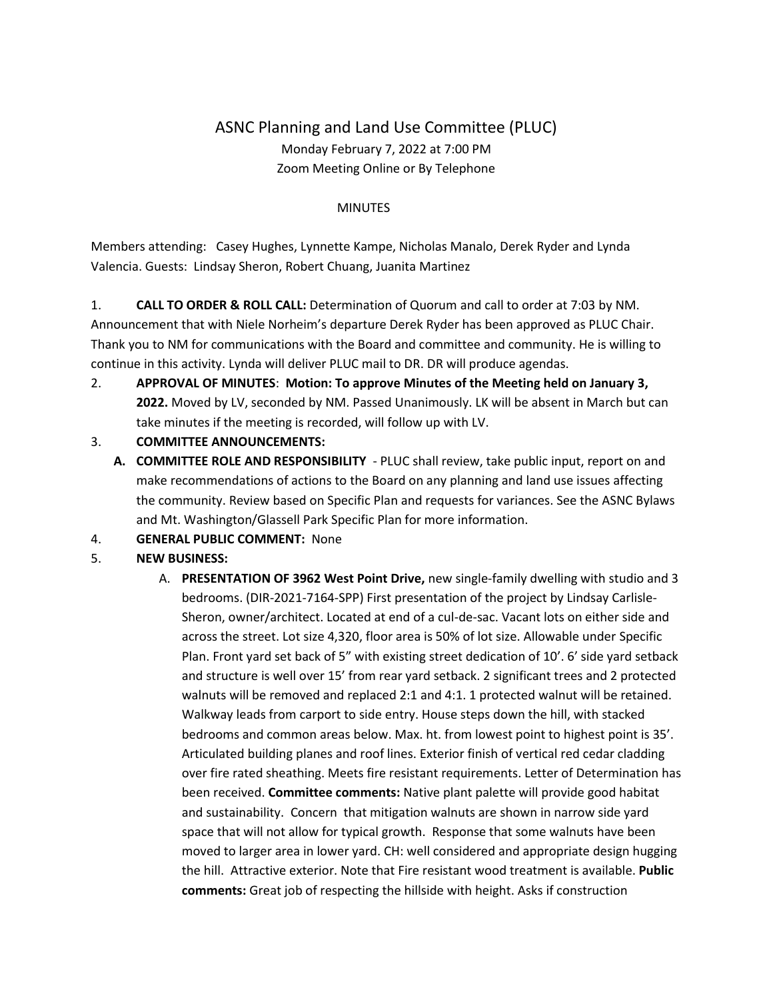## ASNC Planning and Land Use Committee (PLUC) Monday February 7, 2022 at 7:00 PM Zoom Meeting Online or By Telephone

## **MINUTES**

Members attending: Casey Hughes, Lynnette Kampe, Nicholas Manalo, Derek Ryder and Lynda Valencia. Guests: Lindsay Sheron, Robert Chuang, Juanita Martinez

1. **CALL TO ORDER & ROLL CALL:** Determination of Quorum and call to order at 7:03 by NM.

Announcement that with Niele Norheim's departure Derek Ryder has been approved as PLUC Chair. Thank you to NM for communications with the Board and committee and community. He is willing to continue in this activity. Lynda will deliver PLUC mail to DR. DR will produce agendas.

- 2. **APPROVAL OF MINUTES**: **Motion: To approve Minutes of the Meeting held on January 3, 2022.** Moved by LV, seconded by NM. Passed Unanimously. LK will be absent in March but can take minutes if the meeting is recorded, will follow up with LV.
- 3. **COMMITTEE ANNOUNCEMENTS:** 
	- **A. COMMITTEE ROLE AND RESPONSIBILITY** PLUC shall review, take public input, report on and make recommendations of actions to the Board on any planning and land use issues affecting the community. Review based on Specific Plan and requests for variances. See the ASNC Bylaws and Mt. Washington/Glassell Park Specific Plan for more information.
- 4. **GENERAL PUBLIC COMMENT:** None
- 5. **NEW BUSINESS:**
	- A. **PRESENTATION OF 3962 West Point Drive,** new single-family dwelling with studio and 3 bedrooms. (DIR-2021-7164-SPP) First presentation of the project by Lindsay Carlisle-Sheron, owner/architect. Located at end of a cul-de-sac. Vacant lots on either side and across the street. Lot size 4,320, floor area is 50% of lot size. Allowable under Specific Plan. Front yard set back of 5" with existing street dedication of 10'. 6' side yard setback and structure is well over 15' from rear yard setback. 2 significant trees and 2 protected walnuts will be removed and replaced 2:1 and 4:1. 1 protected walnut will be retained. Walkway leads from carport to side entry. House steps down the hill, with stacked bedrooms and common areas below. Max. ht. from lowest point to highest point is 35'. Articulated building planes and roof lines. Exterior finish of vertical red cedar cladding over fire rated sheathing. Meets fire resistant requirements. Letter of Determination has been received. **Committee comments:** Native plant palette will provide good habitat and sustainability. Concern that mitigation walnuts are shown in narrow side yard space that will not allow for typical growth. Response that some walnuts have been moved to larger area in lower yard. CH: well considered and appropriate design hugging the hill. Attractive exterior. Note that Fire resistant wood treatment is available. **Public comments:** Great job of respecting the hillside with height. Asks if construction